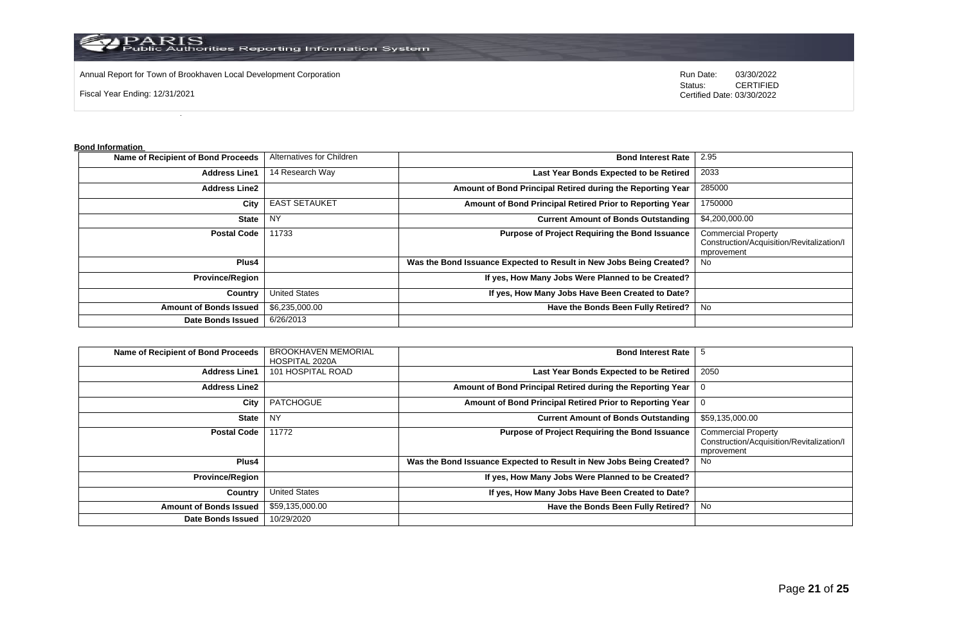

PARIS<br>Public Authorities Reporting Information System

Annual Report for Town of Brookhaven Local Development Corporation **Run Date:** 03/30/2022

Fiscal Year Ending: 12/31/2021

Status: **CERTIFIED** Certified Date: 03/30/2022

**Bond Information** 

| Name of Recipient of Bond Proceeds | Alternatives for Children | <b>Bond Interest Rate</b>                                           | 2.95                                                                                  |
|------------------------------------|---------------------------|---------------------------------------------------------------------|---------------------------------------------------------------------------------------|
| <b>Address Line1</b>               | 14 Research Way           | Last Year Bonds Expected to be Retired                              | 2033                                                                                  |
| <b>Address Line2</b>               |                           | Amount of Bond Principal Retired during the Reporting Year          | 285000                                                                                |
| City                               | <b>EAST SETAUKET</b>      | Amount of Bond Principal Retired Prior to Reporting Year            | 1750000                                                                               |
| <b>State</b>                       | <b>NY</b>                 | <b>Current Amount of Bonds Outstanding</b>                          | \$4,200,000.00                                                                        |
| <b>Postal Code</b>                 | 11733                     | <b>Purpose of Project Requiring the Bond Issuance</b>               | <b>Commercial Property</b><br>Construction/Acquisition/Revitalization/I<br>mprovement |
| Plus4                              |                           | Was the Bond Issuance Expected to Result in New Jobs Being Created? | No.                                                                                   |
| <b>Province/Region</b>             |                           | If yes, How Many Jobs Were Planned to be Created?                   |                                                                                       |
| Country                            | <b>United States</b>      | If yes, How Many Jobs Have Been Created to Date?                    |                                                                                       |
| <b>Amount of Bonds Issued</b>      | \$6,235,000.00            | Have the Bonds Been Fully Retired?                                  | No                                                                                    |
| <b>Date Bonds Issued</b>           | 6/26/2013                 |                                                                     |                                                                                       |

| Name of Recipient of Bond Proceeds | <b>BROOKHAVEN MEMORIAL</b><br>HOSPITAL 2020A | <b>Bond Interest Rate</b>                                           |                                                                                       |
|------------------------------------|----------------------------------------------|---------------------------------------------------------------------|---------------------------------------------------------------------------------------|
| <b>Address Line1</b>               | 101 HOSPITAL ROAD                            | Last Year Bonds Expected to be Retired                              | 2050                                                                                  |
| <b>Address Line2</b>               |                                              | Amount of Bond Principal Retired during the Reporting Year          | 0                                                                                     |
| City                               | <b>PATCHOGUE</b>                             | Amount of Bond Principal Retired Prior to Reporting Year            | 0                                                                                     |
| <b>State</b>                       | <b>NY</b>                                    | <b>Current Amount of Bonds Outstanding</b>                          | \$59,135,000.00                                                                       |
| <b>Postal Code</b>                 | 11772                                        | Purpose of Project Requiring the Bond Issuance                      | <b>Commercial Property</b><br>Construction/Acquisition/Revitalization/I<br>mprovement |
| <b>Plus4</b>                       |                                              | Was the Bond Issuance Expected to Result in New Jobs Being Created? | No.                                                                                   |
| <b>Province/Region</b>             |                                              | If yes, How Many Jobs Were Planned to be Created?                   |                                                                                       |
| Country                            | <b>United States</b>                         | If yes, How Many Jobs Have Been Created to Date?                    |                                                                                       |
| <b>Amount of Bonds Issued</b>      | \$59,135,000.00                              | Have the Bonds Been Fully Retired?                                  | No                                                                                    |
| <b>Date Bonds Issued</b>           | 10/29/2020                                   |                                                                     |                                                                                       |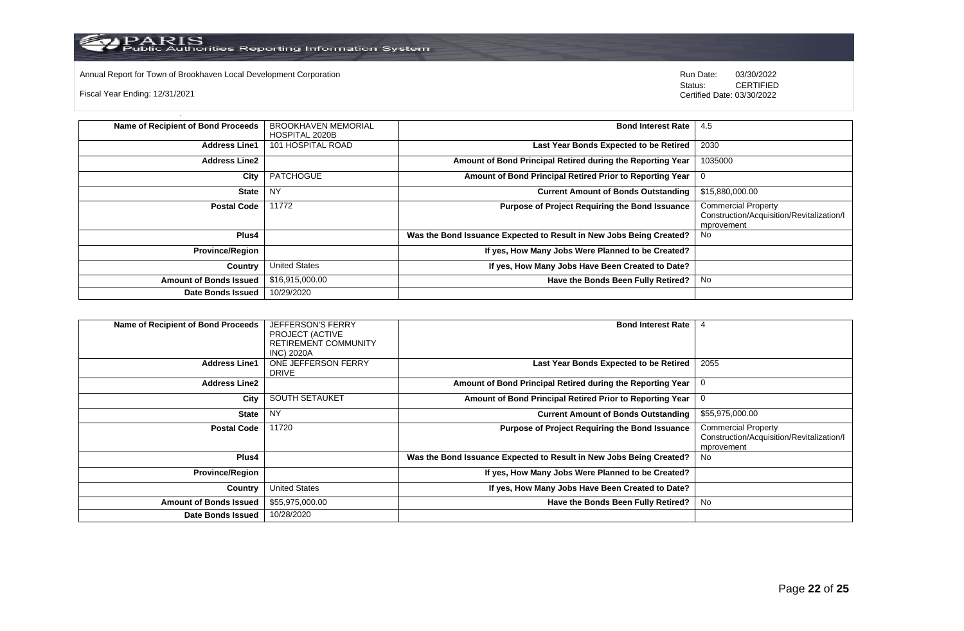

Annual Report for Town of Brookhaven Local Development Corporation **Computer Construction** Run Date: 03/30/2022<br>Status: CERTIFIED

Fiscal Year Ending: 12/31/2021

CERTIFIED Certified Date: 03/30/2022

| Name of Recipient of Bond Proceeds | <b>BROOKHAVEN MEMORIAL</b> | <b>Bond Interest Rate</b>                                           | 4.5                                                                                   |
|------------------------------------|----------------------------|---------------------------------------------------------------------|---------------------------------------------------------------------------------------|
|                                    | HOSPITAL 2020B             |                                                                     |                                                                                       |
| <b>Address Line1</b>               | 101 HOSPITAL ROAD          | Last Year Bonds Expected to be Retired                              | 2030                                                                                  |
| <b>Address Line2</b>               |                            | Amount of Bond Principal Retired during the Reporting Year          | 1035000                                                                               |
| City                               | <b>PATCHOGUE</b>           | Amount of Bond Principal Retired Prior to Reporting Year            |                                                                                       |
| <b>State</b>                       | <b>NY</b>                  | <b>Current Amount of Bonds Outstanding</b>                          | \$15,880,000.00                                                                       |
| <b>Postal Code</b>                 | 11772                      | Purpose of Project Requiring the Bond Issuance                      | <b>Commercial Property</b><br>Construction/Acquisition/Revitalization/I<br>mprovement |
| Plus4                              |                            | Was the Bond Issuance Expected to Result in New Jobs Being Created? | No                                                                                    |
| <b>Province/Region</b>             |                            | If yes, How Many Jobs Were Planned to be Created?                   |                                                                                       |
| Country                            | <b>United States</b>       | If yes, How Many Jobs Have Been Created to Date?                    |                                                                                       |
| <b>Amount of Bonds Issued</b>      | \$16,915,000.00            | Have the Bonds Been Fully Retired?                                  | No                                                                                    |
| <b>Date Bonds Issued</b>           | 10/29/2020                 |                                                                     |                                                                                       |

| <b>Name of Recipient of Bond Proceeds</b> | <b>JEFFERSON'S FERRY</b><br>PROJECT (ACTIVE<br>RETIREMENT COMMUNITY<br><b>INC) 2020A</b> | <b>Bond Interest Rate</b>                                           | 4                                                                                     |
|-------------------------------------------|------------------------------------------------------------------------------------------|---------------------------------------------------------------------|---------------------------------------------------------------------------------------|
| <b>Address Line1</b>                      | ONE JEFFERSON FERRY<br><b>DRIVE</b>                                                      | Last Year Bonds Expected to be Retired                              | 2055                                                                                  |
| <b>Address Line2</b>                      |                                                                                          | Amount of Bond Principal Retired during the Reporting Year   0      |                                                                                       |
| City                                      | <b>SOUTH SETAUKET</b>                                                                    | Amount of Bond Principal Retired Prior to Reporting Year            | $\mathbf{0}$                                                                          |
| <b>State</b>                              | <b>NY</b>                                                                                | <b>Current Amount of Bonds Outstanding</b>                          | \$55,975,000.00                                                                       |
| <b>Postal Code</b>                        | 11720                                                                                    | <b>Purpose of Project Requiring the Bond Issuance</b>               | <b>Commercial Property</b><br>Construction/Acquisition/Revitalization/I<br>mprovement |
| Plus4                                     |                                                                                          | Was the Bond Issuance Expected to Result in New Jobs Being Created? | No                                                                                    |
| <b>Province/Region</b>                    |                                                                                          | If yes, How Many Jobs Were Planned to be Created?                   |                                                                                       |
| Country                                   | <b>United States</b>                                                                     | If yes, How Many Jobs Have Been Created to Date?                    |                                                                                       |
| <b>Amount of Bonds Issued</b>             | \$55,975,000.00                                                                          | Have the Bonds Been Fully Retired?                                  | No                                                                                    |
| Date Bonds Issued                         | 10/28/2020                                                                               |                                                                     |                                                                                       |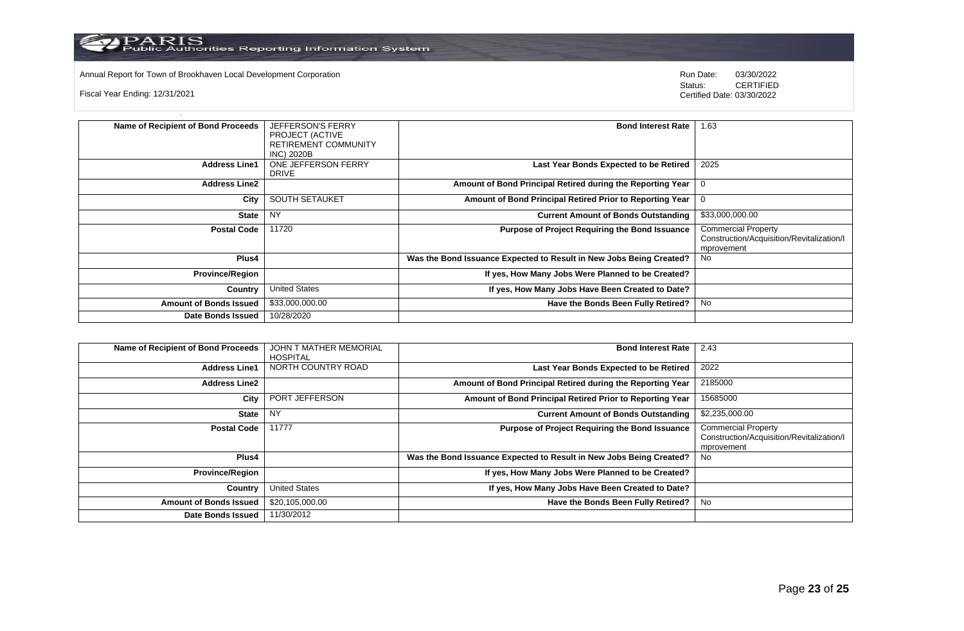

Annual Report for Town of Brookhaven Local Development Corporation Run Date: 03/30/2022

Fiscal Year Ending: 12/31/2021

Status: **CERTIFIED** Certified Date: 03/30/2022

| Name of Recipient of Bond Proceeds | <b>JEFFERSON'S FERRY</b>    | <b>Bond Interest Rate</b>                                           | 1.63                                      |
|------------------------------------|-----------------------------|---------------------------------------------------------------------|-------------------------------------------|
|                                    | PROJECT (ACTIVE             |                                                                     |                                           |
|                                    | <b>RETIREMENT COMMUNITY</b> |                                                                     |                                           |
|                                    |                             |                                                                     |                                           |
|                                    | <b>INC) 2020B</b>           |                                                                     |                                           |
| <b>Address Line1</b>               | ONE JEFFERSON FERRY         | Last Year Bonds Expected to be Retired                              | 2025                                      |
|                                    | <b>DRIVE</b>                |                                                                     |                                           |
|                                    |                             |                                                                     |                                           |
| <b>Address Line2</b>               |                             | Amount of Bond Principal Retired during the Reporting Year          |                                           |
|                                    |                             |                                                                     |                                           |
| City                               | <b>SOUTH SETAUKET</b>       | Amount of Bond Principal Retired Prior to Reporting Year            |                                           |
|                                    |                             |                                                                     |                                           |
| <b>State</b>                       | <b>NY</b>                   | <b>Current Amount of Bonds Outstanding</b>                          | \$33,000,000.00                           |
| <b>Postal Code</b>                 | 11720                       | <b>Purpose of Project Requiring the Bond Issuance</b>               | <b>Commercial Property</b>                |
|                                    |                             |                                                                     | Construction/Acquisition/Revitalization/I |
|                                    |                             |                                                                     |                                           |
|                                    |                             |                                                                     | mprovement                                |
| Plus4                              |                             | Was the Bond Issuance Expected to Result in New Jobs Being Created? | No.                                       |
|                                    |                             |                                                                     |                                           |
| <b>Province/Region</b>             |                             | If yes, How Many Jobs Were Planned to be Created?                   |                                           |
|                                    |                             |                                                                     |                                           |
| Country                            | <b>United States</b>        | If yes, How Many Jobs Have Been Created to Date?                    |                                           |
|                                    |                             |                                                                     |                                           |
| <b>Amount of Bonds Issued</b>      | \$33,000,000.00             | Have the Bonds Been Fully Retired?                                  | No                                        |
| <b>Date Bonds Issued</b>           | 10/28/2020                  |                                                                     |                                           |
|                                    |                             |                                                                     |                                           |

| Name of Recipient of Bond Proceeds | JOHN T MATHER MEMORIAL<br>HOSPITAL | <b>Bond Interest Rate</b>                                           | 2.43                                                                                  |
|------------------------------------|------------------------------------|---------------------------------------------------------------------|---------------------------------------------------------------------------------------|
| <b>Address Line1</b>               | NORTH COUNTRY ROAD                 | Last Year Bonds Expected to be Retired                              | 2022                                                                                  |
| <b>Address Line2</b>               |                                    | Amount of Bond Principal Retired during the Reporting Year          | 2185000                                                                               |
| City                               | PORT JEFFERSON                     | Amount of Bond Principal Retired Prior to Reporting Year            | 15685000                                                                              |
| <b>State</b>                       | <b>NY</b>                          | <b>Current Amount of Bonds Outstanding</b>                          | \$2,235,000.00                                                                        |
| <b>Postal Code</b>                 | 11777                              | Purpose of Project Requiring the Bond Issuance                      | <b>Commercial Property</b><br>Construction/Acquisition/Revitalization/I<br>mprovement |
| Plus4                              |                                    | Was the Bond Issuance Expected to Result in New Jobs Being Created? | No.                                                                                   |
| <b>Province/Region</b>             |                                    | If yes, How Many Jobs Were Planned to be Created?                   |                                                                                       |
| Country                            | <b>United States</b>               | If yes, How Many Jobs Have Been Created to Date?                    |                                                                                       |
| <b>Amount of Bonds Issued</b>      | \$20,105,000.00                    | Have the Bonds Been Fully Retired?                                  | No                                                                                    |
| Date Bonds Issued                  | 11/30/2012                         |                                                                     |                                                                                       |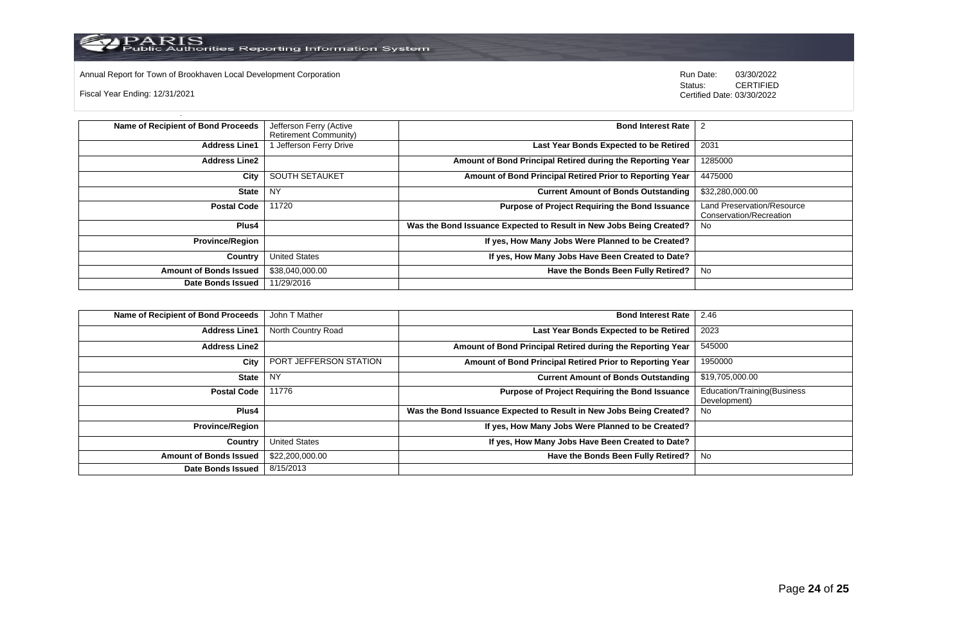

PARIS<br>Public Authorities Reporting Information System

Annual Report for Town of Brookhaven Local Development Corporation **Computer Construction** Run Date: 03/30/2022<br>Status: CERTIFIED

Fiscal Year Ending: 12/31/2021

CERTIFIED Certified Date: 03/30/2022

| Name of Recipient of Bond Proceeds | Jefferson Ferry (Active      | <b>Bond Interest Rate</b>                                           |                                                              |
|------------------------------------|------------------------------|---------------------------------------------------------------------|--------------------------------------------------------------|
|                                    | <b>Retirement Community)</b> |                                                                     |                                                              |
| <b>Address Line1</b>               | Jefferson Ferry Drive        | Last Year Bonds Expected to be Retired                              | 2031                                                         |
| <b>Address Line2</b>               |                              | Amount of Bond Principal Retired during the Reporting Year          | 1285000                                                      |
| City                               | <b>SOUTH SETAUKET</b>        | Amount of Bond Principal Retired Prior to Reporting Year            | 4475000                                                      |
| <b>State</b>                       | <b>NY</b>                    | <b>Current Amount of Bonds Outstanding</b>                          | \$32,280,000.00                                              |
| <b>Postal Code</b>                 | 11720                        | <b>Purpose of Project Requiring the Bond Issuance</b>               | <b>Land Preservation/Resource</b><br>Conservation/Recreation |
| <b>Plus4</b>                       |                              | Was the Bond Issuance Expected to Result in New Jobs Being Created? | No.                                                          |
| <b>Province/Region</b>             |                              | If yes, How Many Jobs Were Planned to be Created?                   |                                                              |
| Country                            | <b>United States</b>         | If yes, How Many Jobs Have Been Created to Date?                    |                                                              |
| <b>Amount of Bonds Issued</b>      | \$38,040,000.00              | Have the Bonds Been Fully Retired?                                  | No                                                           |
| <b>Date Bonds Issued</b>           | 11/29/2016                   |                                                                     |                                                              |

| Name of Recipient of Bond Proceeds | John T Mather          | <b>Bond Interest Rate</b>                                           | 2.46                                        |
|------------------------------------|------------------------|---------------------------------------------------------------------|---------------------------------------------|
| <b>Address Line1</b>               | North Country Road     | Last Year Bonds Expected to be Retired                              | 2023                                        |
| <b>Address Line2</b>               |                        | Amount of Bond Principal Retired during the Reporting Year          | 545000                                      |
| City                               | PORT JEFFERSON STATION | Amount of Bond Principal Retired Prior to Reporting Year            | 1950000                                     |
| <b>State</b>                       | <b>NY</b>              | <b>Current Amount of Bonds Outstanding</b>                          | \$19,705,000.00                             |
| <b>Postal Code</b>                 | 11776                  | <b>Purpose of Project Requiring the Bond Issuance</b>               | Education/Training(Business<br>Development) |
| <b>Plus4</b>                       |                        | Was the Bond Issuance Expected to Result in New Jobs Being Created? | No                                          |
| <b>Province/Region</b>             |                        | If yes, How Many Jobs Were Planned to be Created?                   |                                             |
| Country                            | <b>United States</b>   | If yes, How Many Jobs Have Been Created to Date?                    |                                             |
| <b>Amount of Bonds Issued</b>      | \$22,200,000.00        | Have the Bonds Been Fully Retired?                                  | No                                          |
| <b>Date Bonds Issued</b>           | 8/15/2013              |                                                                     |                                             |